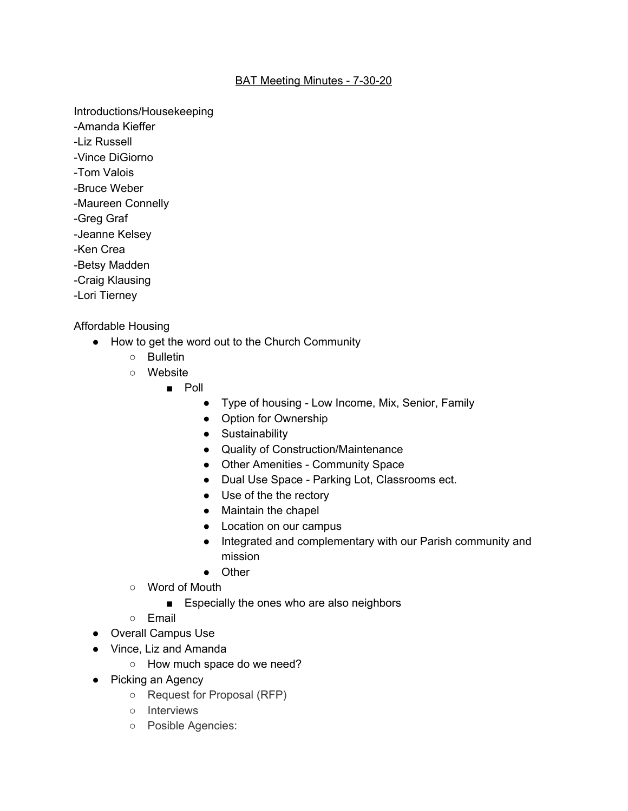## BAT Meeting Minutes - 7-30-20

Introductions/Housekeeping

- -Amanda Kieffer
- -Liz Russell
- -Vince DiGiorno
- -Tom Valois
- -Bruce Weber
- -Maureen Connelly
- -Greg Graf
- -Jeanne Kelsey
- -Ken Crea
- -Betsy Madden
- -Craig Klausing
- -Lori Tierney

Affordable Housing

- How to get the word out to the Church Community
	- Bulletin
	- Website
		- Poll
			- Type of housing Low Income, Mix, Senior, Family
			- Option for Ownership
			- Sustainability
			- Quality of Construction/Maintenance
			- Other Amenities Community Space
			- Dual Use Space Parking Lot, Classrooms ect.
			- Use of the the rectory
			- Maintain the chapel
			- Location on our campus
			- Integrated and complementary with our Parish community and mission
			- Other
	- Word of Mouth
		- Especially the ones who are also neighbors
	- Email
- Overall Campus Use
- Vince, Liz and Amanda
	- How much space do we need?
- Picking an Agency
	- Request for Proposal (RFP)
	- Interviews
	- Posible Agencies: